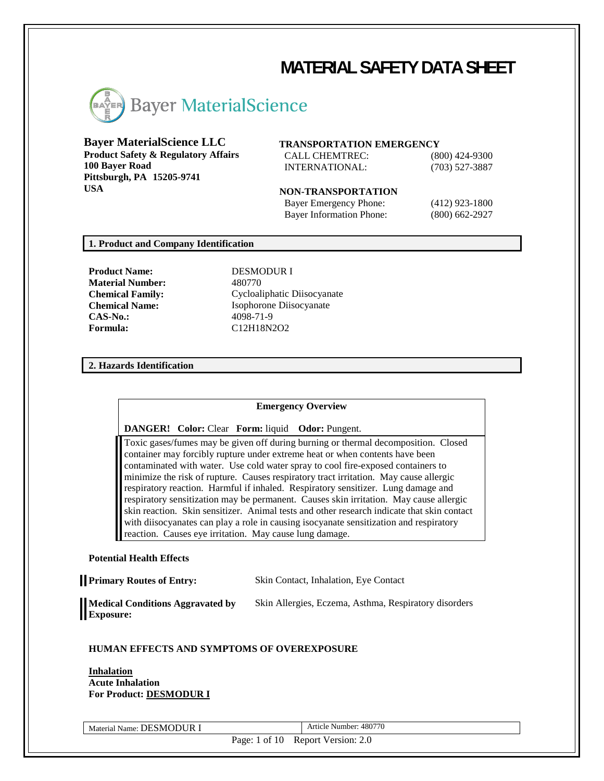# **MATERIAL SAFETY DATA SHEET**



# **Bayer MaterialScience LLC**

**Product Safety & Regulatory Affairs 100 Bayer Road Pittsburgh, PA 15205-9741 USA**

#### **TRANSPORTATION EMERGENCY**

CALL CHEMTREC: (800) 424-9300 INTERNATIONAL: (703) 527-3887

#### **NON-TRANSPORTATION**

Bayer Emergency Phone: (412) 923-1800 Bayer Information Phone: (800) 662-2927

# **1. Product and Company Identification**

**Product Name:** DESMODUR I **Material Number:** 480770 **CAS-No.:** 4098-71-9 **Formula:** C12H18N2O2

**Chemical Family:** Cycloaliphatic Diisocyanate **Chemical Name:** Isophorone Diisocyanate

#### **2. Hazards Identification**

#### **Emergency Overview**

**DANGER! Color:** Clear **Form:** liquid **Odor:** Pungent.

Toxic gases/fumes may be given off during burning or thermal decomposition. Closed container may forcibly rupture under extreme heat or when contents have been contaminated with water. Use cold water spray to cool fire-exposed containers to minimize the risk of rupture. Causes respiratory tract irritation. May cause allergic respiratory reaction. Harmful if inhaled. Respiratory sensitizer. Lung damage and respiratory sensitization may be permanent. Causes skin irritation. May cause allergic skin reaction. Skin sensitizer. Animal tests and other research indicate that skin contact with diisocyanates can play a role in causing isocyanate sensitization and respiratory reaction. Causes eye irritation. May cause lung damage.

#### **Potential Health Effects**

**Medical Conditions Aggravated by Exposure:** Skin Allergies, Eczema, Asthma, Respiratory disorders

#### **HUMAN EFFECTS AND SYMPTOMS OF OVEREXPOSURE**

**Inhalation Acute Inhalation For Product: DESMODUR I**

Material Name: DESMODUR I Article Number: 480770

Page: 1 of 10 Report Version: 2.0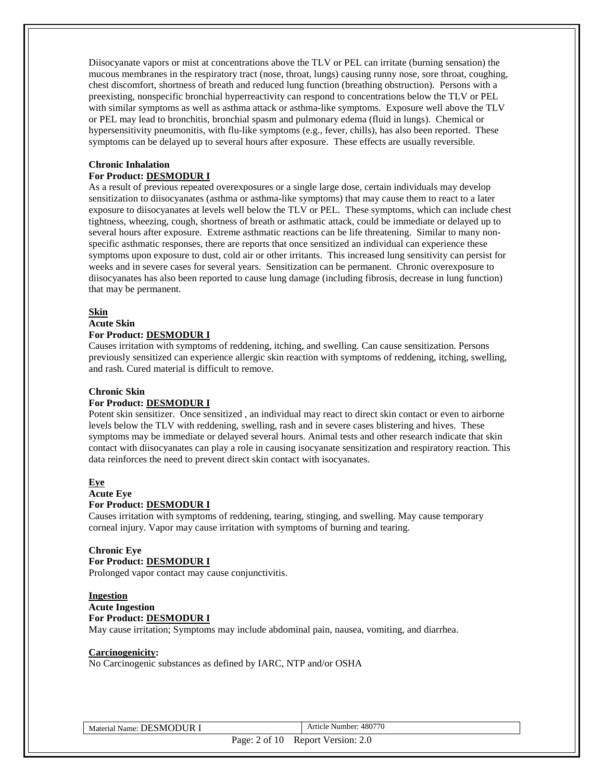Diisocyanate vapors or mist at concentrations above the TLV or PEL can irritate (burning sensation) the mucous membranes in the respiratory tract (nose, throat, lungs) causing runny nose, sore throat, coughing, chest discomfort, shortness of breath and reduced lung function (breathing obstruction). Persons with a preexisting, nonspecific bronchial hyperreactivity can respond to concentrations below the TLV or PEL with similar symptoms as well as asthma attack or asthma-like symptoms. Exposure well above the TLV or PEL may lead to bronchitis, bronchial spasm and pulmonary edema (fluid in lungs). Chemical or hypersensitivity pneumonitis, with flu-like symptoms (e.g., fever, chills), has also been reported. These symptoms can be delayed up to several hours after exposure. These effects are usually reversible.

#### **Chronic Inhalation For Product: DESMODUR I**

As a result of previous repeated overexposures or a single large dose, certain individuals may develop sensitization to diisocyanates (asthma or asthma-like symptoms) that may cause them to react to a later exposure to diisocyanates at levels well below the TLV or PEL. These symptoms, which can include chest tightness, wheezing, cough, shortness of breath or asthmatic attack, could be immediate or delayed up to several hours after exposure. Extreme asthmatic reactions can be life threatening. Similar to many nonspecific asthmatic responses, there are reports that once sensitized an individual can experience these symptoms upon exposure to dust, cold air or other irritants. This increased lung sensitivity can persist for weeks and in severe cases for several years. Sensitization can be permanent. Chronic overexposure to diisocyanates has also been reported to cause lung damage (including fibrosis, decrease in lung function) that may be permanent.

#### **Skin**

# **Acute Skin**

#### **For Product: DESMODUR I**

Causes irritation with symptoms of reddening, itching, and swelling. Can cause sensitization. Persons previously sensitized can experience allergic skin reaction with symptoms of reddening, itching, swelling, and rash. Cured material is difficult to remove.

#### **Chronic Skin**

#### **For Product: DESMODUR I**

Potent skin sensitizer. Once sensitized , an individual may react to direct skin contact or even to airborne levels below the TLV with reddening, swelling, rash and in severe cases blistering and hives. These symptoms may be immediate or delayed several hours. Animal tests and other research indicate that skin contact with diisocyanates can play a role in causing isocyanate sensitization and respiratory reaction. This data reinforces the need to prevent direct skin contact with isocyanates.

# **Eye**

#### **Acute Eye For Product: DESMODUR I**

Causes irritation with symptoms of reddening, tearing, stinging, and swelling. May cause temporary corneal injury. Vapor may cause irritation with symptoms of burning and tearing.

#### **Chronic Eye For Product: DESMODUR I**

Prolonged vapor contact may cause conjunctivitis.

# **Ingestion**

# **Acute Ingestion**

#### **For Product: DESMODUR I**

May cause irritation; Symptoms may include abdominal pain, nausea, vomiting, and diarrhea.

# **Carcinogenicity:**

No Carcinogenic substances as defined by IARC, NTP and/or OSHA

Material Name: DESMODUR I Article Number: 480770

Page: 2 of 10 Report Version: 2.0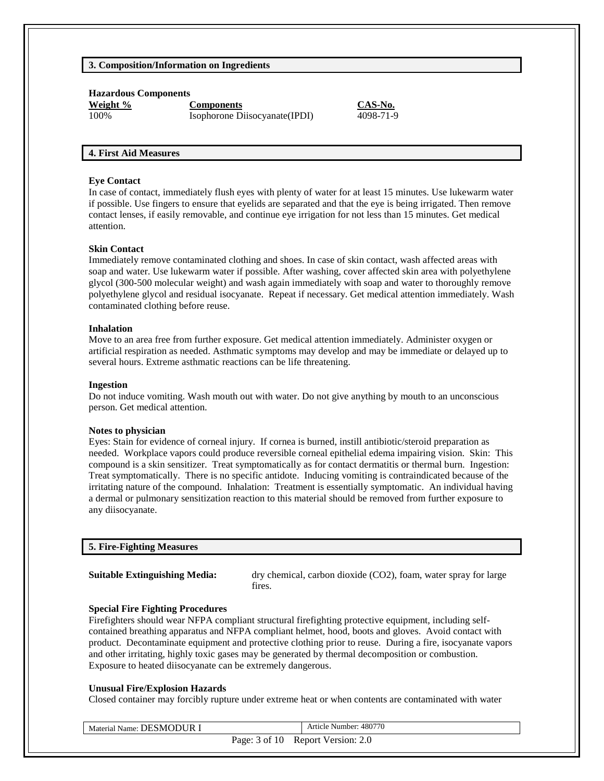# **3. Composition/Information on Ingredients**

**Hazardous Components**

**Weight % Components CAS-No.** 100% Isophorone Diisocyanate(IPDI) 4098-71-9

#### **4. First Aid Measures**

#### **Eye Contact**

In case of contact, immediately flush eyes with plenty of water for at least 15 minutes. Use lukewarm water if possible. Use fingers to ensure that eyelids are separated and that the eye is being irrigated. Then remove contact lenses, if easily removable, and continue eye irrigation for not less than 15 minutes. Get medical attention.

#### **Skin Contact**

Immediately remove contaminated clothing and shoes. In case of skin contact, wash affected areas with soap and water. Use lukewarm water if possible. After washing, cover affected skin area with polyethylene glycol (300-500 molecular weight) and wash again immediately with soap and water to thoroughly remove polyethylene glycol and residual isocyanate. Repeat if necessary. Get medical attention immediately. Wash contaminated clothing before reuse.

#### **Inhalation**

Move to an area free from further exposure. Get medical attention immediately. Administer oxygen or artificial respiration as needed. Asthmatic symptoms may develop and may be immediate or delayed up to several hours. Extreme asthmatic reactions can be life threatening.

#### **Ingestion**

Do not induce vomiting. Wash mouth out with water. Do not give anything by mouth to an unconscious person. Get medical attention.

#### **Notes to physician**

Eyes: Stain for evidence of corneal injury. If cornea is burned, instill antibiotic/steroid preparation as needed. Workplace vapors could produce reversible corneal epithelial edema impairing vision. Skin: This compound is a skin sensitizer. Treat symptomatically as for contact dermatitis or thermal burn. Ingestion: Treat symptomatically. There is no specific antidote. Inducing vomiting is contraindicated because of the irritating nature of the compound. Inhalation: Treatment is essentially symptomatic. An individual having a dermal or pulmonary sensitization reaction to this material should be removed from further exposure to any diisocyanate.

#### **5. Fire-Fighting Measures**

**Suitable Extinguishing Media:** dry chemical, carbon dioxide (CO2), foam, water spray for large fires.

#### **Special Fire Fighting Procedures**

Firefighters should wear NFPA compliant structural firefighting protective equipment, including selfcontained breathing apparatus and NFPA compliant helmet, hood, boots and gloves. Avoid contact with product. Decontaminate equipment and protective clothing prior to reuse. During a fire, isocyanate vapors and other irritating, highly toxic gases may be generated by thermal decomposition or combustion. Exposure to heated diisocyanate can be extremely dangerous.

#### **Unusual Fire/Explosion Hazards**

Closed container may forcibly rupture under extreme heat or when contents are contaminated with water

| Material Name: DESMODUR I | Article Number: 480770            |
|---------------------------|-----------------------------------|
|                           | Page: 3 of 10 Report Version: 2.0 |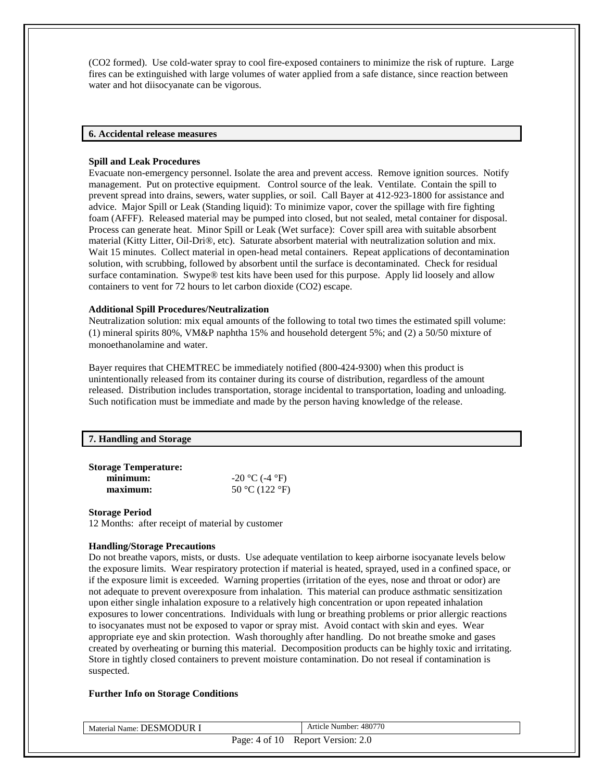(CO2 formed). Use cold-water spray to cool fire-exposed containers to minimize the risk of rupture. Large fires can be extinguished with large volumes of water applied from a safe distance, since reaction between water and hot diisocyanate can be vigorous.

#### **6. Accidental release measures**

#### **Spill and Leak Procedures**

Evacuate non-emergency personnel. Isolate the area and prevent access. Remove ignition sources. Notify management. Put on protective equipment. Control source of the leak. Ventilate. Contain the spill to prevent spread into drains, sewers, water supplies, or soil. Call Bayer at 412-923-1800 for assistance and advice. Major Spill or Leak (Standing liquid): To minimize vapor, cover the spillage with fire fighting foam (AFFF). Released material may be pumped into closed, but not sealed, metal container for disposal. Process can generate heat. Minor Spill or Leak (Wet surface): Cover spill area with suitable absorbent material (Kitty Litter, Oil-Dri®, etc). Saturate absorbent material with neutralization solution and mix. Wait 15 minutes. Collect material in open-head metal containers. Repeat applications of decontamination solution, with scrubbing, followed by absorbent until the surface is decontaminated. Check for residual surface contamination. Swype® test kits have been used for this purpose. Apply lid loosely and allow containers to vent for 72 hours to let carbon dioxide (CO2) escape.

#### **Additional Spill Procedures/Neutralization**

Neutralization solution: mix equal amounts of the following to total two times the estimated spill volume: (1) mineral spirits 80%, VM&P naphtha 15% and household detergent 5%; and (2) a 50/50 mixture of monoethanolamine and water.

Bayer requires that CHEMTREC be immediately notified (800-424-9300) when this product is unintentionally released from its container during its course of distribution, regardless of the amount released. Distribution includes transportation, storage incidental to transportation, loading and unloading. Such notification must be immediate and made by the person having knowledge of the release.

#### **7. Handling and Storage**

| <b>Storage Temperature:</b> |                  |
|-----------------------------|------------------|
| minimum:                    | $-20$ °C (-4 °F) |
| maximum:                    | 50 °C (122 °F)   |

#### **Storage Period**

12 Months: after receipt of material by customer

#### **Handling/Storage Precautions**

Do not breathe vapors, mists, or dusts. Use adequate ventilation to keep airborne isocyanate levels below the exposure limits. Wear respiratory protection if material is heated, sprayed, used in a confined space, or if the exposure limit is exceeded. Warning properties (irritation of the eyes, nose and throat or odor) are not adequate to prevent overexposure from inhalation. This material can produce asthmatic sensitization upon either single inhalation exposure to a relatively high concentration or upon repeated inhalation exposures to lower concentrations. Individuals with lung or breathing problems or prior allergic reactions to isocyanates must not be exposed to vapor or spray mist. Avoid contact with skin and eyes. Wear appropriate eye and skin protection. Wash thoroughly after handling. Do not breathe smoke and gases created by overheating or burning this material. Decomposition products can be highly toxic and irritating. Store in tightly closed containers to prevent moisture contamination. Do not reseal if contamination is suspected.

#### **Further Info on Storage Conditions**

| Material Name: DESMODUR I | Article Number: 480770            |
|---------------------------|-----------------------------------|
|                           | Page: 4 of 10 Report Version: 2.0 |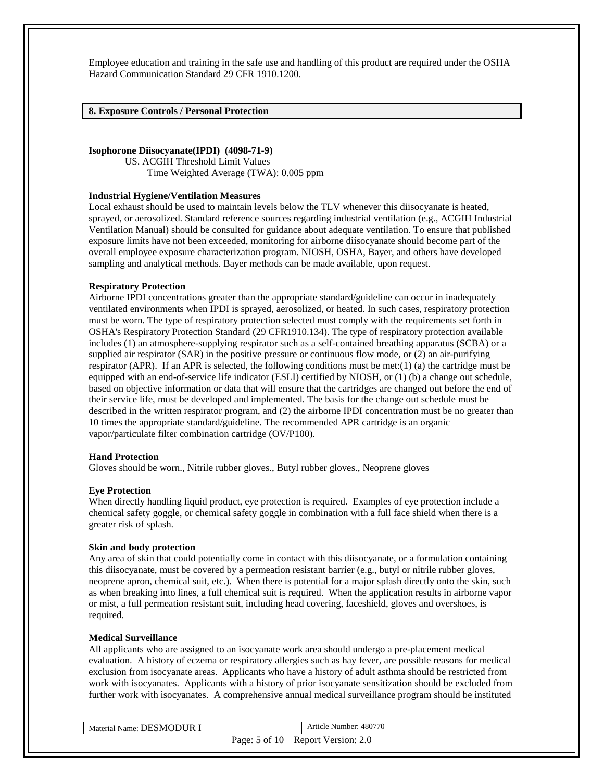Employee education and training in the safe use and handling of this product are required under the OSHA Hazard Communication Standard 29 CFR 1910.1200.

**8. Exposure Controls / Personal Protection** 

#### **Isophorone Diisocyanate(IPDI) (4098-71-9)**

US. ACGIH Threshold Limit Values Time Weighted Average (TWA): 0.005 ppm

#### **Industrial Hygiene/Ventilation Measures**

Local exhaust should be used to maintain levels below the TLV whenever this diisocyanate is heated, sprayed, or aerosolized. Standard reference sources regarding industrial ventilation (e.g., ACGIH Industrial Ventilation Manual) should be consulted for guidance about adequate ventilation. To ensure that published exposure limits have not been exceeded, monitoring for airborne diisocyanate should become part of the overall employee exposure characterization program. NIOSH, OSHA, Bayer, and others have developed sampling and analytical methods. Bayer methods can be made available, upon request.

#### **Respiratory Protection**

Airborne IPDI concentrations greater than the appropriate standard/guideline can occur in inadequately ventilated environments when IPDI is sprayed, aerosolized, or heated. In such cases, respiratory protection must be worn. The type of respiratory protection selected must comply with the requirements set forth in OSHA's Respiratory Protection Standard (29 CFR1910.134). The type of respiratory protection available includes (1) an atmosphere-supplying respirator such as a self-contained breathing apparatus (SCBA) or a supplied air respirator (SAR) in the positive pressure or continuous flow mode, or (2) an air-purifying respirator (APR). If an APR is selected, the following conditions must be met: $(1)$  (a) the cartridge must be equipped with an end-of-service life indicator (ESLI) certified by NIOSH, or (1) (b) a change out schedule, based on objective information or data that will ensure that the cartridges are changed out before the end of their service life, must be developed and implemented. The basis for the change out schedule must be described in the written respirator program, and (2) the airborne IPDI concentration must be no greater than 10 times the appropriate standard/guideline. The recommended APR cartridge is an organic vapor/particulate filter combination cartridge (OV/P100).

#### **Hand Protection**

Gloves should be worn., Nitrile rubber gloves., Butyl rubber gloves., Neoprene gloves

# **Eye Protection**

When directly handling liquid product, eye protection is required. Examples of eye protection include a chemical safety goggle, or chemical safety goggle in combination with a full face shield when there is a greater risk of splash.

#### **Skin and body protection**

Any area of skin that could potentially come in contact with this diisocyanate, or a formulation containing this diisocyanate, must be covered by a permeation resistant barrier (e.g., butyl or nitrile rubber gloves, neoprene apron, chemical suit, etc.). When there is potential for a major splash directly onto the skin, such as when breaking into lines, a full chemical suit is required. When the application results in airborne vapor or mist, a full permeation resistant suit, including head covering, faceshield, gloves and overshoes, is required.

#### **Medical Surveillance**

All applicants who are assigned to an isocyanate work area should undergo a pre-placement medical evaluation. A history of eczema or respiratory allergies such as hay fever, are possible reasons for medical exclusion from isocyanate areas. Applicants who have a history of adult asthma should be restricted from work with isocyanates. Applicants with a history of prior isocyanate sensitization should be excluded from further work with isocyanates. A comprehensive annual medical surveillance program should be instituted

| Material Name: DESMODUR I | Article Number: 480770            |
|---------------------------|-----------------------------------|
|                           | Page: 5 of 10 Report Version: 2.0 |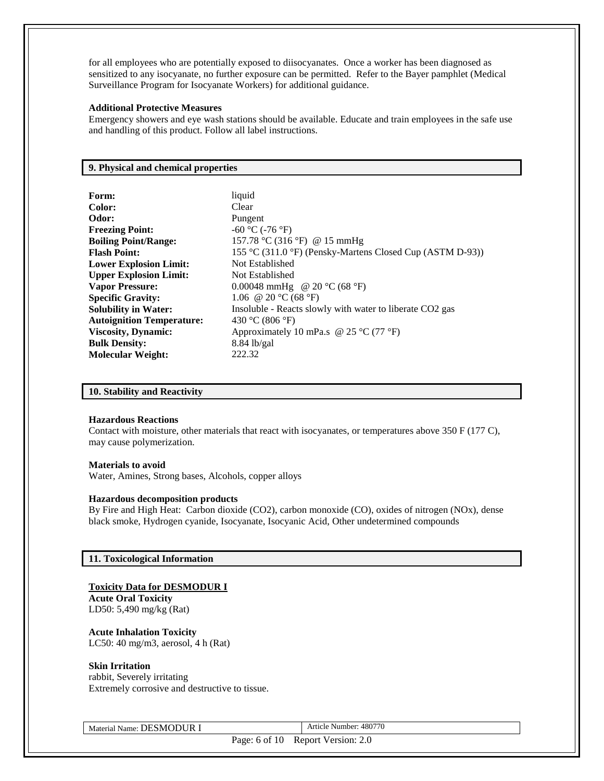for all employees who are potentially exposed to diisocyanates. Once a worker has been diagnosed as sensitized to any isocyanate, no further exposure can be permitted. Refer to the Bayer pamphlet (Medical Surveillance Program for Isocyanate Workers) for additional guidance.

#### **Additional Protective Measures**

Emergency showers and eye wash stations should be available. Educate and train employees in the safe use and handling of this product. Follow all label instructions.

**Form:** liquid

# **9. Physical and chemical properties**

| Form:                            |
|----------------------------------|
| Color:                           |
| Odor:                            |
| <b>Freezing Point:</b>           |
| <b>Boiling Point/Range:</b>      |
| <b>Flash Point:</b>              |
| <b>Lower Explosion Limit:</b>    |
| <b>Upper Explosion Limit:</b>    |
| <b>Vapor Pressure:</b>           |
| <b>Specific Gravity:</b>         |
| <b>Solubility in Water:</b>      |
| <b>Autoignition Temperature:</b> |
| <b>Viscosity, Dynamic:</b>       |
| <b>Bulk Density:</b>             |
| <b>Molecular Weight:</b>         |

**Clear Odor:** Pungent **Freezing Point:** -60 °C (-76 °F) **Boiling Point/Range:** 157.78 °C (316 °F) @ 15 mmHg **Flash Point:** 155 °C (311.0 °F) (Pensky-Martens Closed Cup (ASTM D-93)) **Not Established Not Established** 0.00048 mmHg @ 20 °C (68 °F) **Specific Gravity:** 1.06 @ 20 °C (68 °F) Insoluble - Reacts slowly with water to liberate CO2 gas **Autoignition Temperature:** 430 °C (806 °F) Approximately 10 mPa.s  $\omega$  25 °C (77 °F) **Bulk Density:** 8.84 lb/gal **Molecular Weight:** 222.32

#### **10. Stability and Reactivity**

#### **Hazardous Reactions**

Contact with moisture, other materials that react with isocyanates, or temperatures above 350 F (177 C), may cause polymerization.

#### **Materials to avoid**

Water, Amines, Strong bases, Alcohols, copper alloys

#### **Hazardous decomposition products**

By Fire and High Heat: Carbon dioxide (CO2), carbon monoxide (CO), oxides of nitrogen (NOx), dense black smoke, Hydrogen cyanide, Isocyanate, Isocyanic Acid, Other undetermined compounds

#### **11. Toxicological Information**

#### **Toxicity Data for DESMODUR I**

**Acute Oral Toxicity** LD50: 5,490 mg/kg (Rat)

**Acute Inhalation Toxicity** LC50: 40 mg/m3, aerosol, 4 h (Rat)

#### **Skin Irritation**

rabbit, Severely irritating Extremely corrosive and destructive to tissue.

Material Name: DESMODUR I Article Number: 480770

Page: 6 of 10 Report Version: 2.0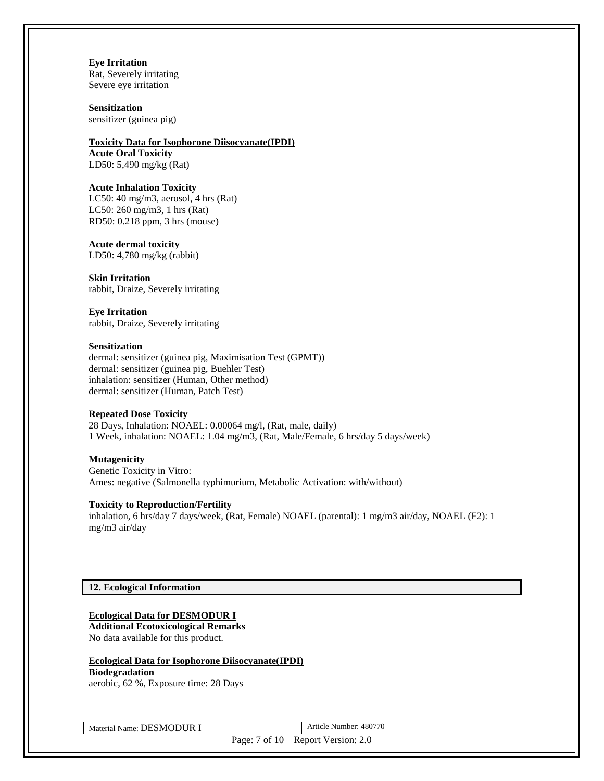**Eye Irritation** Rat, Severely irritating Severe eye irritation

**Sensitization** sensitizer (guinea pig)

#### **Toxicity Data for Isophorone Diisocyanate(IPDI)**

**Acute Oral Toxicity** LD50: 5,490 mg/kg (Rat)

#### **Acute Inhalation Toxicity**

LC50: 40 mg/m3, aerosol, 4 hrs (Rat) LC50: 260 mg/m3, 1 hrs (Rat) RD50: 0.218 ppm, 3 hrs (mouse)

#### **Acute dermal toxicity**

LD50: 4,780 mg/kg (rabbit)

**Skin Irritation** rabbit, Draize, Severely irritating

**Eye Irritation** rabbit, Draize, Severely irritating

#### **Sensitization**

dermal: sensitizer (guinea pig, Maximisation Test (GPMT)) dermal: sensitizer (guinea pig, Buehler Test) inhalation: sensitizer (Human, Other method) dermal: sensitizer (Human, Patch Test)

#### **Repeated Dose Toxicity**

28 Days, Inhalation: NOAEL: 0.00064 mg/l, (Rat, male, daily) 1 Week, inhalation: NOAEL: 1.04 mg/m3, (Rat, Male/Female, 6 hrs/day 5 days/week)

#### **Mutagenicity**

Genetic Toxicity in Vitro: Ames: negative (Salmonella typhimurium, Metabolic Activation: with/without)

#### **Toxicity to Reproduction/Fertility**

inhalation, 6 hrs/day 7 days/week, (Rat, Female) NOAEL (parental): 1 mg/m3 air/day, NOAEL (F2): 1 mg/m3 air/day

# **12. Ecological Information**

# **Ecological Data for DESMODUR I**

**Additional Ecotoxicological Remarks** No data available for this product.

#### **Ecological Data for Isophorone Diisocyanate(IPDI) Biodegradation**

aerobic, 62 %, Exposure time: 28 Days

Material Name: DESMODUR I Article Number: 480770

Page: 7 of 10 Report Version: 2.0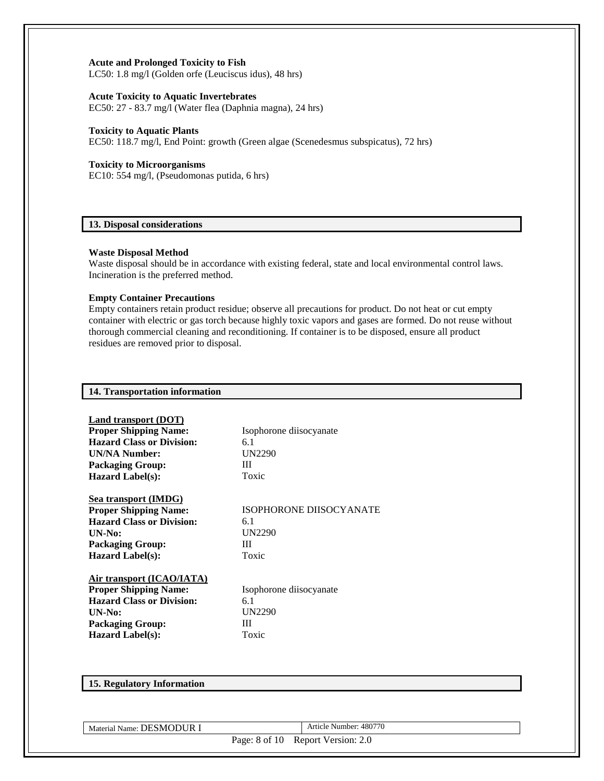#### **Acute and Prolonged Toxicity to Fish**

LC50: 1.8 mg/l (Golden orfe (Leuciscus idus), 48 hrs)

#### **Acute Toxicity to Aquatic Invertebrates**

EC50: 27 - 83.7 mg/l (Water flea (Daphnia magna), 24 hrs)

#### **Toxicity to Aquatic Plants**

EC50: 118.7 mg/l, End Point: growth (Green algae (Scenedesmus subspicatus), 72 hrs)

#### **Toxicity to Microorganisms**

EC10: 554 mg/l, (Pseudomonas putida, 6 hrs)

#### **13. Disposal considerations**

#### **Waste Disposal Method**

Waste disposal should be in accordance with existing federal, state and local environmental control laws. Incineration is the preferred method.

#### **Empty Container Precautions**

Empty containers retain product residue; observe all precautions for product. Do not heat or cut empty container with electric or gas torch because highly toxic vapors and gases are formed. Do not reuse without thorough commercial cleaning and reconditioning. If container is to be disposed, ensure all product residues are removed prior to disposal.

| 14. Transportation information   |                                |
|----------------------------------|--------------------------------|
|                                  |                                |
| Land transport (DOT)             |                                |
| <b>Proper Shipping Name:</b>     | Isophorone diisocyanate        |
| <b>Hazard Class or Division:</b> | 6.1                            |
| <b>UN/NA Number:</b>             | <b>UN2290</b>                  |
| <b>Packaging Group:</b>          | Ш                              |
| <b>Hazard Label(s):</b>          | Toxic                          |
|                                  |                                |
| <b>Sea transport (IMDG)</b>      |                                |
| <b>Proper Shipping Name:</b>     | <b>ISOPHORONE DIISOCYANATE</b> |
| <b>Hazard Class or Division:</b> | 6.1                            |
| $UN-N0$ :                        | <b>UN2290</b>                  |
| <b>Packaging Group:</b>          | Ш                              |
| <b>Hazard Label(s):</b>          | Toxic                          |
|                                  |                                |
| Air transport (ICAO/IATA)        |                                |
| <b>Proper Shipping Name:</b>     | Isophorone diisocyanate        |
| <b>Hazard Class or Division:</b> | 6.1                            |
| UN-No:                           | <b>UN2290</b>                  |
| <b>Packaging Group:</b>          | Ш                              |
| <b>Hazard Label(s):</b>          | Toxic                          |
|                                  |                                |
|                                  |                                |
|                                  |                                |

# **15. Regulatory Information**

Material Name: DESMODUR I Article Number: 480770

Page: 8 of 10 Report Version: 2.0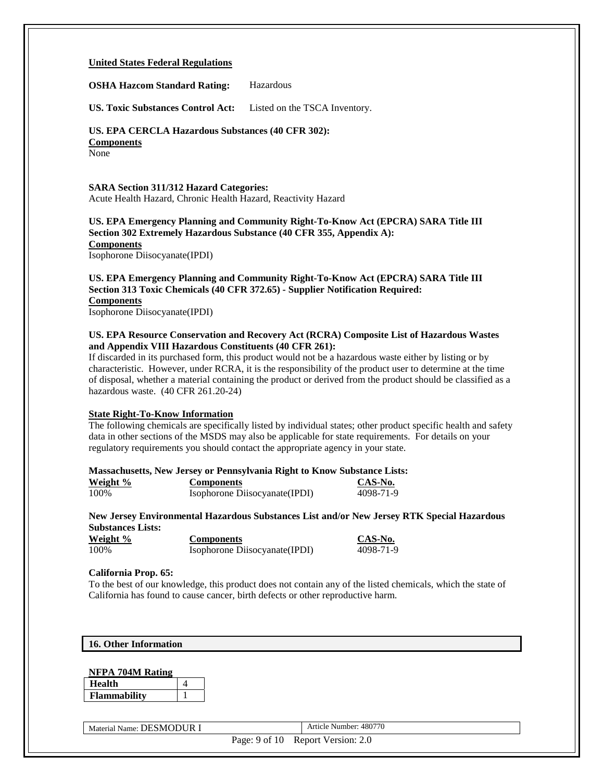#### **United States Federal Regulations**

**OSHA Hazcom Standard Rating:** Hazardous

**US. Toxic Substances Control Act:** Listed on the TSCA Inventory.

# **US. EPA CERCLA Hazardous Substances (40 CFR 302):**

**Components**

None

**SARA Section 311/312 Hazard Categories:** Acute Health Hazard, Chronic Health Hazard, Reactivity Hazard

#### **US. EPA Emergency Planning and Community Right-To-Know Act (EPCRA) SARA Title III Section 302 Extremely Hazardous Substance (40 CFR 355, Appendix A): Components**

Isophorone Diisocyanate(IPDI)

# **US. EPA Emergency Planning and Community Right-To-Know Act (EPCRA) SARA Title III Section 313 Toxic Chemicals (40 CFR 372.65) - Supplier Notification Required: Components**

Isophorone Diisocyanate(IPDI)

#### **US. EPA Resource Conservation and Recovery Act (RCRA) Composite List of Hazardous Wastes and Appendix VIII Hazardous Constituents (40 CFR 261):**

If discarded in its purchased form, this product would not be a hazardous waste either by listing or by characteristic. However, under RCRA, it is the responsibility of the product user to determine at the time of disposal, whether a material containing the product or derived from the product should be classified as a hazardous waste. (40 CFR 261.20-24)

#### **State Right-To-Know Information**

The following chemicals are specifically listed by individual states; other product specific health and safety data in other sections of the MSDS may also be applicable for state requirements. For details on your regulatory requirements you should contact the appropriate agency in your state.

#### **Massachusetts, New Jersey or Pennsylvania Right to Know Substance Lists:**

| Weight % | <b>Components</b>             | CAS-No.   |
|----------|-------------------------------|-----------|
| 100%     | Isophorone Disocyanate (IPDI) | 4098-71-9 |

**New Jersey Environmental Hazardous Substances List and/or New Jersey RTK Special Hazardous Substances Lists:**

| Weight % | <b>Components</b>              | CAS-No.   |
|----------|--------------------------------|-----------|
| 100%     | Isophorone Diisocyanate (IPDI) | 4098-71-9 |

#### **California Prop. 65:**

To the best of our knowledge, this product does not contain any of the listed chemicals, which the state of California has found to cause cancer, birth defects or other reproductive harm.

|  |  | 16. Other Information |
|--|--|-----------------------|
|--|--|-----------------------|

#### **NFPA 704M Rating**

| тn<br>ונפ         |  |
|-------------------|--|
| `lammabilitv<br>F |  |

Material Name: DESMODUR I Article Number: 480770

Page: 9 of 10 Report Version: 2.0